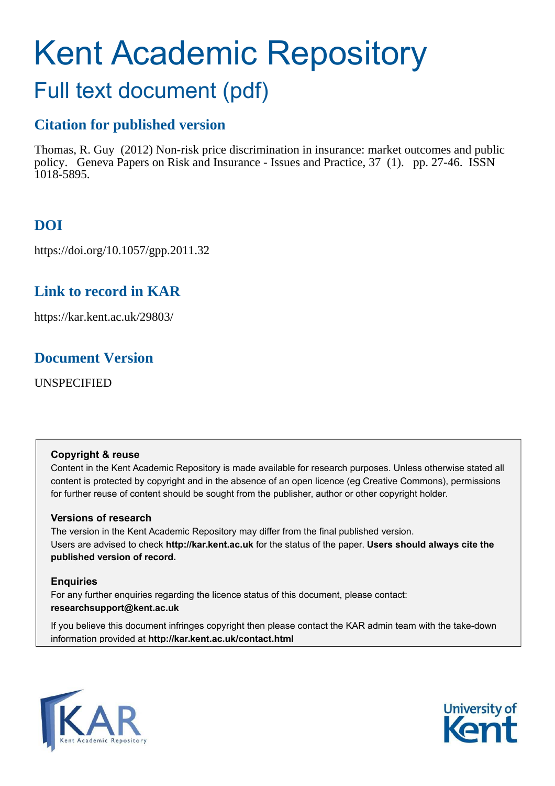# Kent Academic Repository Full text document (pdf)

# **Citation for published version**

Thomas, R. Guy (2012) Non-risk price discrimination in insurance: market outcomes and public policy. Geneva Papers on Risk and Insurance - Issues and Practice, 37 (1). pp. 27-46. ISSN 1018-5895.

# **DOI**

https://doi.org/10.1057/gpp.2011.32

# **Link to record in KAR**

https://kar.kent.ac.uk/29803/

# **Document Version**

UNSPECIFIED

## **Copyright & reuse**

Content in the Kent Academic Repository is made available for research purposes. Unless otherwise stated all content is protected by copyright and in the absence of an open licence (eg Creative Commons), permissions for further reuse of content should be sought from the publisher, author or other copyright holder.

## **Versions of research**

The version in the Kent Academic Repository may differ from the final published version. Users are advised to check **http://kar.kent.ac.uk** for the status of the paper. **Users should always cite the published version of record.**

## **Enquiries**

For any further enquiries regarding the licence status of this document, please contact: **researchsupport@kent.ac.uk**

If you believe this document infringes copyright then please contact the KAR admin team with the take-down information provided at **http://kar.kent.ac.uk/contact.html**



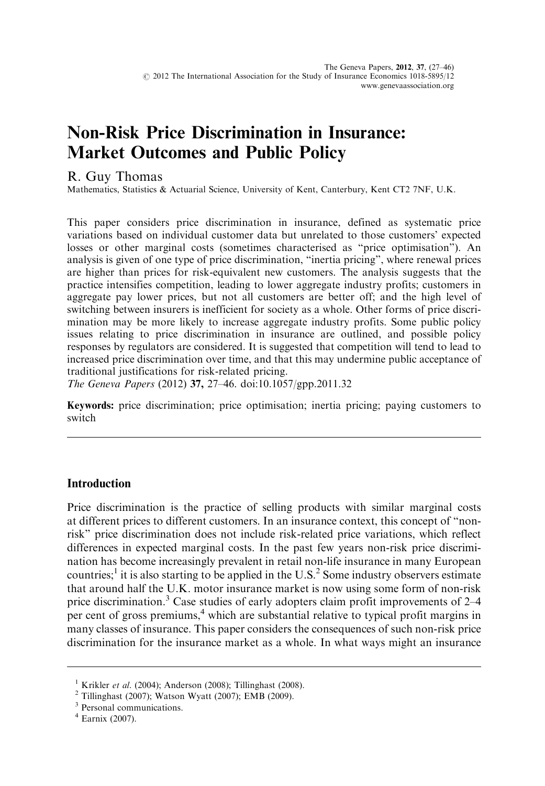# Non-Risk Price Discrimination in Insurance: Market Outcomes and Public Policy

## R. Guy Thomas

Mathematics, Statistics & Actuarial Science, University of Kent, Canterbury, Kent CT2 7NF, U.K.

This paper considers price discrimination in insurance, defined as systematic price variations based on individual customer data but unrelated to those customers' expected losses or other marginal costs (sometimes characterised as "price optimisation"). An analysis is given of one type of price discrimination, "inertia pricing", where renewal prices are higher than prices for risk-equivalent new customers. The analysis suggests that the practice intensifies competition, leading to lower aggregate industry profits; customers in aggregate pay lower prices, but not all customers are better off; and the high level of switching between insurers is inefficient for society as a whole. Other forms of price discrimination may be more likely to increase aggregate industry profits. Some public policy issues relating to price discrimination in insurance are outlined, and possible policy responses by regulators are considered. It is suggested that competition will tend to lead to increased price discrimination over time, and that this may undermine public acceptance of traditional justifications for risk-related pricing.

The Geneva Papers (2012) 37, 27–46. doi:10.1057/gpp.2011.32

Keywords: price discrimination; price optimisation; inertia pricing; paying customers to switch

## Introduction

Price discrimination is the practice of selling products with similar marginal costs at different prices to different customers. In an insurance context, this concept of "nonrisk" price discrimination does not include risk-related price variations, which reflect differences in expected marginal costs. In the past few years non-risk price discrimination has become increasingly prevalent in retail non-life insurance in many European countries;<sup>1</sup> it is also starting to be applied in the U.S.<sup>2</sup> Some industry observers estimate that around half the U.K. motor insurance market is now using some form of non-risk price discrimination.<sup>3</sup> Case studies of early adopters claim profit improvements of 2–4 per cent of gross premiums,<sup>4</sup> which are substantial relative to typical profit margins in many classes of insurance. This paper considers the consequences of such non-risk price discrimination for the insurance market as a whole. In what ways might an insurance

<sup>&</sup>lt;sup>1</sup> Krikler et al. (2004); Anderson (2008); Tillinghast (2008).

<sup>2</sup> Tillinghast (2007); Watson Wyatt (2007); EMB (2009).

<sup>3</sup> Personal communications.

 $4$  Earnix (2007).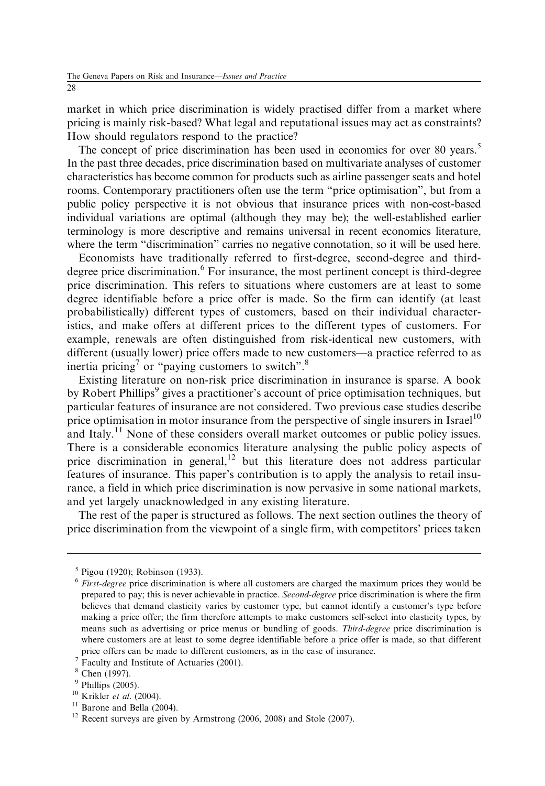market in which price discrimination is widely practised differ from a market where pricing is mainly risk-based? What legal and reputational issues may act as constraints? How should regulators respond to the practice?

The concept of price discrimination has been used in economics for over 80 years.<sup>5</sup> In the past three decades, price discrimination based on multivariate analyses of customer characteristics has become common for products such as airline passenger seats and hotel rooms. Contemporary practitioners often use the term "price optimisation", but from a public policy perspective it is not obvious that insurance prices with non-cost-based individual variations are optimal (although they may be); the well-established earlier terminology is more descriptive and remains universal in recent economics literature, where the term "discrimination" carries no negative connotation, so it will be used here.

Economists have traditionally referred to first-degree, second-degree and thirddegree price discrimination.<sup>6</sup> For insurance, the most pertinent concept is third-degree price discrimination. This refers to situations where customers are at least to some degree identifiable before a price offer is made. So the firm can identify (at least probabilistically) different types of customers, based on their individual characteristics, and make offers at different prices to the different types of customers. For example, renewals are often distinguished from risk-identical new customers, with different (usually lower) price offers made to new customers—a practice referred to as inertia pricing<sup>7</sup> or "paying customers to switch".<sup>8</sup>

Existing literature on non-risk price discrimination in insurance is sparse. A book by Robert Phillips<sup>9</sup> gives a practitioner's account of price optimisation techniques, but particular features of insurance are not considered. Two previous case studies describe price optimisation in motor insurance from the perspective of single insurers in Israel<sup>10</sup> and Italy.<sup>11</sup> None of these considers overall market outcomes or public policy issues. There is a considerable economics literature analysing the public policy aspects of price discrimination in general,<sup>12</sup> but this literature does not address particular features of insurance. This paper's contribution is to apply the analysis to retail insurance, a field in which price discrimination is now pervasive in some national markets, and yet largely unacknowledged in any existing literature.

The rest of the paper is structured as follows. The next section outlines the theory of price discrimination from the viewpoint of a single firm, with competitors' prices taken

<sup>5</sup> Pigou (1920); Robinson (1933).

 $6$  First-degree price discrimination is where all customers are charged the maximum prices they would be prepared to pay; this is never achievable in practice. Second-degree price discrimination is where the firm believes that demand elasticity varies by customer type, but cannot identify a customer's type before making a price offer; the firm therefore attempts to make customers self-select into elasticity types, by means such as advertising or price menus or bundling of goods. Third-degree price discrimination is where customers are at least to some degree identifiable before a price offer is made, so that different price offers can be made to different customers, as in the case of insurance.

 $7$  Faculty and Institute of Actuaries (2001).

<sup>8</sup> Chen (1997).

<sup>&</sup>lt;sup>9</sup> Phillips (2005).

 $10$  Krikler et al. (2004).

 $11$  Barone and Bella (2004).

 $12$  Recent surveys are given by Armstrong (2006, 2008) and Stole (2007).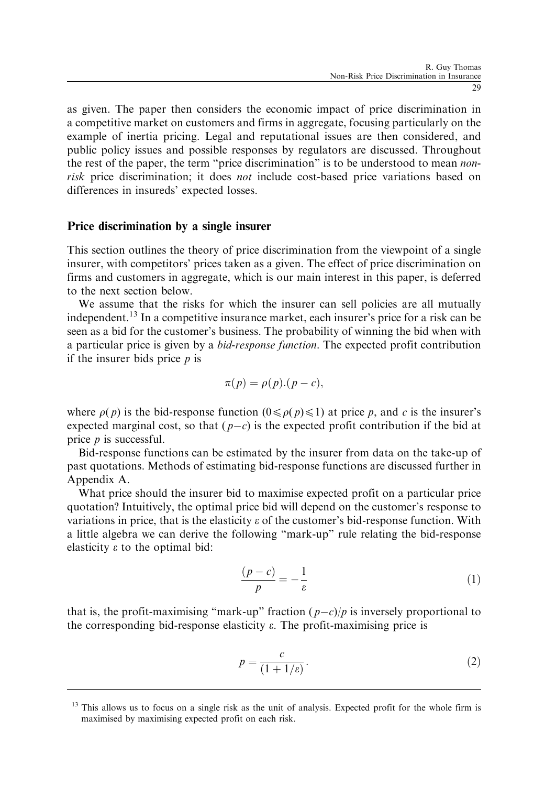as given. The paper then considers the economic impact of price discrimination in a competitive market on customers and firms in aggregate, focusing particularly on the example of inertia pricing. Legal and reputational issues are then considered, and public policy issues and possible responses by regulators are discussed. Throughout the rest of the paper, the term "price discrimination" is to be understood to mean *non*risk price discrimination; it does not include cost-based price variations based on differences in insureds' expected losses.

#### Price discrimination by a single insurer

This section outlines the theory of price discrimination from the viewpoint of a single insurer, with competitors' prices taken as a given. The effect of price discrimination on firms and customers in aggregate, which is our main interest in this paper, is deferred to the next section below.

We assume that the risks for which the insurer can sell policies are all mutually independent.<sup>13</sup> In a competitive insurance market, each insurer's price for a risk can be seen as a bid for the customer's business. The probability of winning the bid when with a particular price is given by a bid-response function. The expected profit contribution if the insurer bids price  $p$  is

$$
\pi(p) = \rho(p) \cdot (p - c),
$$

where  $\rho(p)$  is the bid-response function  $(0 \leq \rho(p) \leq 1)$  at price p, and c is the insurer's expected marginal cost, so that  $(p-c)$  is the expected profit contribution if the bid at price  $p$  is successful.

Bid-response functions can be estimated by the insurer from data on the take-up of past quotations. Methods of estimating bid-response functions are discussed further in Appendix A.

What price should the insurer bid to maximise expected profit on a particular price quotation? Intuitively, the optimal price bid will depend on the customer's response to variations in price, that is the elasticity  $\varepsilon$  of the customer's bid-response function. With a little algebra we can derive the following "mark-up" rule relating the bid-response elasticity  $\varepsilon$  to the optimal bid:

$$
\frac{(p-c)}{p} = -\frac{1}{\varepsilon} \tag{1}
$$

that is, the profit-maximising "mark-up" fraction  $(p-c)/p$  is inversely proportional to the corresponding bid-response elasticity  $\varepsilon$ . The profit-maximising price is

$$
p = \frac{c}{(1+1/\varepsilon)}.\tag{2}
$$

<sup>&</sup>lt;sup>13</sup> This allows us to focus on a single risk as the unit of analysis. Expected profit for the whole firm is maximised by maximising expected profit on each risk.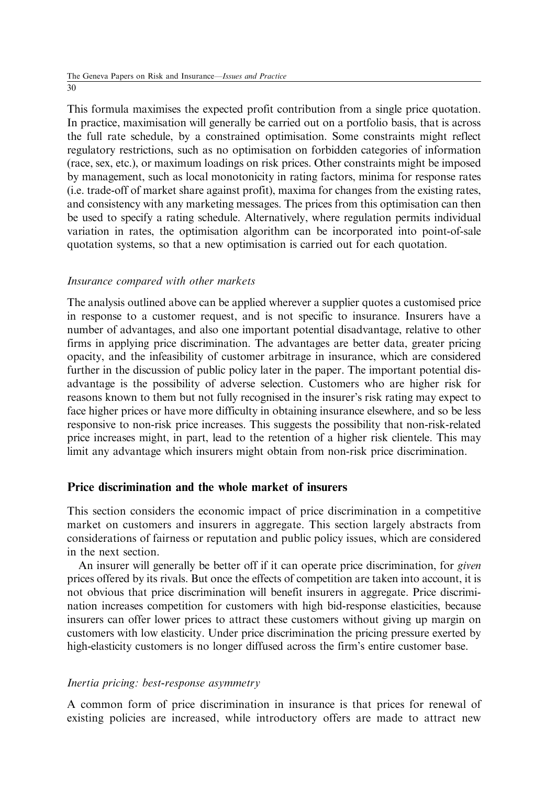This formula maximises the expected profit contribution from a single price quotation. In practice, maximisation will generally be carried out on a portfolio basis, that is across the full rate schedule, by a constrained optimisation. Some constraints might reflect regulatory restrictions, such as no optimisation on forbidden categories of information (race, sex, etc.), or maximum loadings on risk prices. Other constraints might be imposed by management, such as local monotonicity in rating factors, minima for response rates (i.e. trade-off of market share against profit), maxima for changes from the existing rates, and consistency with any marketing messages. The prices from this optimisation can then be used to specify a rating schedule. Alternatively, where regulation permits individual variation in rates, the optimisation algorithm can be incorporated into point-of-sale quotation systems, so that a new optimisation is carried out for each quotation.

#### Insurance compared with other markets

The analysis outlined above can be applied wherever a supplier quotes a customised price in response to a customer request, and is not specific to insurance. Insurers have a number of advantages, and also one important potential disadvantage, relative to other firms in applying price discrimination. The advantages are better data, greater pricing opacity, and the infeasibility of customer arbitrage in insurance, which are considered further in the discussion of public policy later in the paper. The important potential disadvantage is the possibility of adverse selection. Customers who are higher risk for reasons known to them but not fully recognised in the insurer's risk rating may expect to face higher prices or have more difficulty in obtaining insurance elsewhere, and so be less responsive to non-risk price increases. This suggests the possibility that non-risk-related price increases might, in part, lead to the retention of a higher risk clientele. This may limit any advantage which insurers might obtain from non-risk price discrimination.

## Price discrimination and the whole market of insurers

This section considers the economic impact of price discrimination in a competitive market on customers and insurers in aggregate. This section largely abstracts from considerations of fairness or reputation and public policy issues, which are considered in the next section.

An insurer will generally be better off if it can operate price discrimination, for *given* prices offered by its rivals. But once the effects of competition are taken into account, it is not obvious that price discrimination will benefit insurers in aggregate. Price discrimination increases competition for customers with high bid-response elasticities, because insurers can offer lower prices to attract these customers without giving up margin on customers with low elasticity. Under price discrimination the pricing pressure exerted by high-elasticity customers is no longer diffused across the firm's entire customer base.

#### Inertia pricing: best-response asymmetry

A common form of price discrimination in insurance is that prices for renewal of existing policies are increased, while introductory offers are made to attract new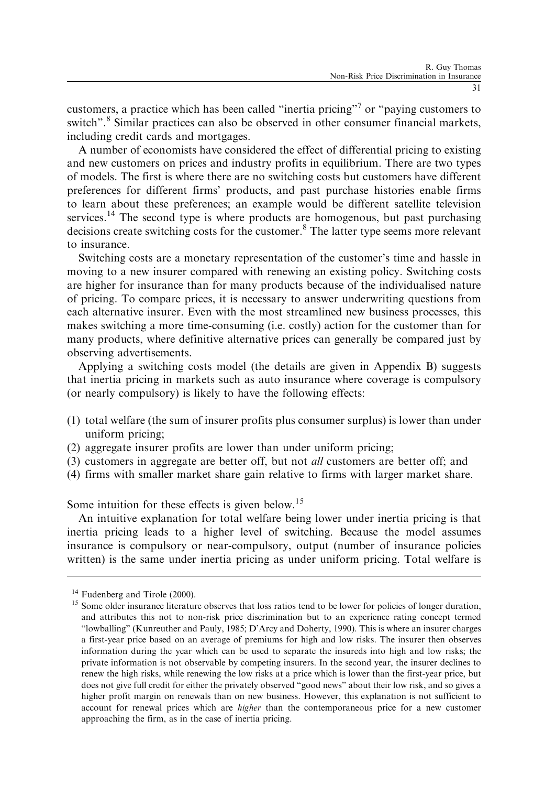31

customers, a practice which has been called "inertia pricing"<sup>7</sup> or "paying customers to switch".<sup>8</sup> Similar practices can also be observed in other consumer financial markets, including credit cards and mortgages.

A number of economists have considered the effect of differential pricing to existing and new customers on prices and industry profits in equilibrium. There are two types of models. The first is where there are no switching costs but customers have different preferences for different firms' products, and past purchase histories enable firms to learn about these preferences; an example would be different satellite television services.<sup>14</sup> The second type is where products are homogenous, but past purchasing decisions create switching costs for the customer.<sup>8</sup> The latter type seems more relevant to insurance.

Switching costs are a monetary representation of the customer's time and hassle in moving to a new insurer compared with renewing an existing policy. Switching costs are higher for insurance than for many products because of the individualised nature of pricing. To compare prices, it is necessary to answer underwriting questions from each alternative insurer. Even with the most streamlined new business processes, this makes switching a more time-consuming (i.e. costly) action for the customer than for many products, where definitive alternative prices can generally be compared just by observing advertisements.

Applying a switching costs model (the details are given in Appendix B) suggests that inertia pricing in markets such as auto insurance where coverage is compulsory (or nearly compulsory) is likely to have the following effects:

- (1) total welfare (the sum of insurer profits plus consumer surplus) is lower than under uniform pricing;
- (2) aggregate insurer profits are lower than under uniform pricing;
- (3) customers in aggregate are better off, but not all customers are better off; and
- (4) firms with smaller market share gain relative to firms with larger market share.

Some intuition for these effects is given below.<sup>15</sup>

An intuitive explanation for total welfare being lower under inertia pricing is that inertia pricing leads to a higher level of switching. Because the model assumes insurance is compulsory or near-compulsory, output (number of insurance policies written) is the same under inertia pricing as under uniform pricing. Total welfare is

 $14$  Fudenberg and Tirole (2000).

<sup>&</sup>lt;sup>15</sup> Some older insurance literature observes that loss ratios tend to be lower for policies of longer duration, and attributes this not to non-risk price discrimination but to an experience rating concept termed "lowballing" (Kunreuther and Pauly, 1985; D'Arcy and Doherty, 1990). This is where an insurer charges a first-year price based on an average of premiums for high and low risks. The insurer then observes information during the year which can be used to separate the insureds into high and low risks; the private information is not observable by competing insurers. In the second year, the insurer declines to renew the high risks, while renewing the low risks at a price which is lower than the first-year price, but does not give full credit for either the privately observed "good news" about their low risk, and so gives a higher profit margin on renewals than on new business. However, this explanation is not sufficient to account for renewal prices which are higher than the contemporaneous price for a new customer approaching the firm, as in the case of inertia pricing.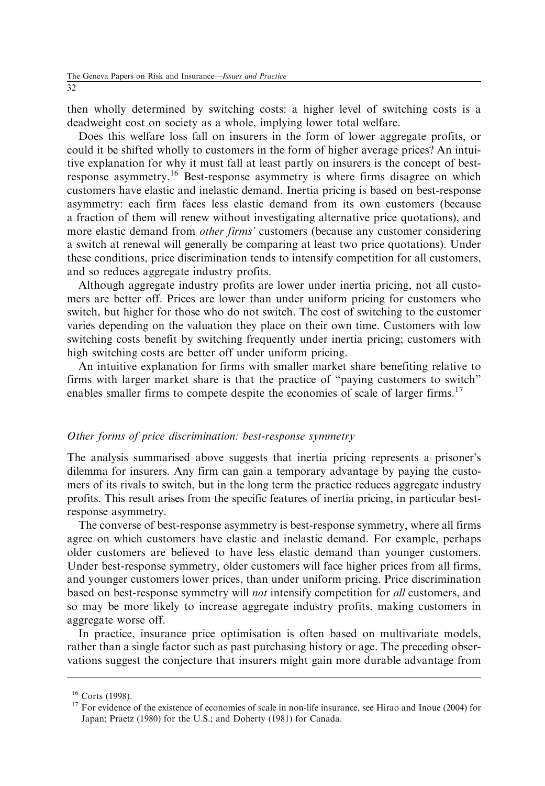then wholly determined by switching costs: a higher level of switching costs is a deadweight cost on society as a whole, implying lower total welfare.

Does this welfare loss fall on insurers in the form of lower aggregate profits, or could it be shifted wholly to customers in the form of higher average prices? An intuitive explanation for why it must fall at least partly on insurers is the concept of bestresponse asymmetry.<sup>16</sup> Best-response asymmetry is where firms disagree on which customers have elastic and inelastic demand. Inertia pricing is based on best-response asymmetry: each firm faces less elastic demand from its own customers (because a fraction of them will renew without investigating alternative price quotations), and more elastic demand from *other firms'* customers (because any customer considering a switch at renewal will generally be comparing at least two price quotations). Under these conditions, price discrimination tends to intensify competition for all customers, and so reduces aggregate industry profits.

Although aggregate industry profits are lower under inertia pricing, not all customers are better off. Prices are lower than under uniform pricing for customers who switch, but higher for those who do not switch. The cost of switching to the customer varies depending on the valuation they place on their own time. Customers with low switching costs benefit by switching frequently under inertia pricing; customers with high switching costs are better off under uniform pricing.

An intuitive explanation for firms with smaller market share benefiting relative to firms with larger market share is that the practice of "paying customers to switch" enables smaller firms to compete despite the economies of scale of larger firms.<sup>17</sup>

#### Other forms of price discrimination: best-response symmetry

The analysis summarised above suggests that inertia pricing represents a prisoner's dilemma for insurers. Any firm can gain a temporary advantage by paying the customers of its rivals to switch, but in the long term the practice reduces aggregate industry profits. This result arises from the specific features of inertia pricing, in particular bestresponse asymmetry.

The converse of best-response asymmetry is best-response symmetry, where all firms agree on which customers have elastic and inelastic demand. For example, perhaps older customers are believed to have less elastic demand than younger customers. Under best-response symmetry, older customers will face higher prices from all firms, and younger customers lower prices, than under uniform pricing. Price discrimination based on best-response symmetry will not intensify competition for all customers, and so may be more likely to increase aggregate industry profits, making customers in aggregate worse off.

In practice, insurance price optimisation is often based on multivariate models, rather than a single factor such as past purchasing history or age. The preceding observations suggest the conjecture that insurers might gain more durable advantage from

 $16$  Corts (1998).

 $17$  For evidence of the existence of economies of scale in non-life insurance, see Hirao and Inoue (2004) for Japan; Praetz (1980) for the U.S.; and Doherty (1981) for Canada.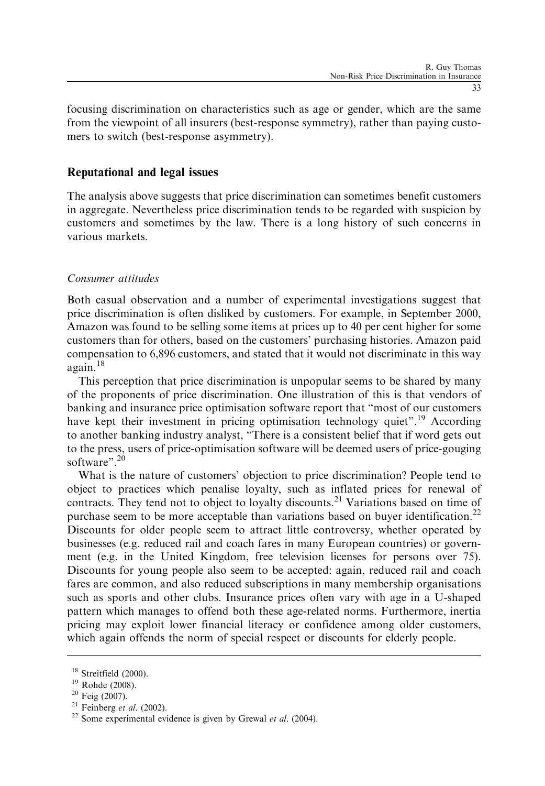focusing discrimination on characteristics such as age or gender, which are the same from the viewpoint of all insurers (best-response symmetry), rather than paying customers to switch (best-response asymmetry).

#### Reputational and legal issues

The analysis above suggests that price discrimination can sometimes benefit customers in aggregate. Nevertheless price discrimination tends to be regarded with suspicion by customers and sometimes by the law. There is a long history of such concerns in various markets.

#### Consumer attitudes

Both casual observation and a number of experimental investigations suggest that price discrimination is often disliked by customers. For example, in September 2000, Amazon was found to be selling some items at prices up to 40 per cent higher for some customers than for others, based on the customers' purchasing histories. Amazon paid compensation to 6,896 customers, and stated that it would not discriminate in this way  $a\overline{q}$ again.<sup>18</sup>

This perception that price discrimination is unpopular seems to be shared by many of the proponents of price discrimination. One illustration of this is that vendors of banking and insurance price optimisation software report that "most of our customers have kept their investment in pricing optimisation technology quiet".<sup>19</sup> According to another banking industry analyst, "There is a consistent belief that if word gets out to the press, users of price-optimisation software will be deemed users of price-gouging software".<sup>20</sup>

What is the nature of customers' objection to price discrimination? People tend to object to practices which penalise loyalty, such as inflated prices for renewal of contracts. They tend not to object to loyalty discounts.<sup>21</sup> Variations based on time of purchase seem to be more acceptable than variations based on buyer identification.<sup>22</sup> Discounts for older people seem to attract little controversy, whether operated by businesses (e.g. reduced rail and coach fares in many European countries) or government (e.g. in the United Kingdom, free television licenses for persons over 75). Discounts for young people also seem to be accepted: again, reduced rail and coach fares are common, and also reduced subscriptions in many membership organisations such as sports and other clubs. Insurance prices often vary with age in a U-shaped pattern which manages to offend both these age-related norms. Furthermore, inertia pricing may exploit lower financial literacy or confidence among older customers, which again offends the norm of special respect or discounts for elderly people.

<sup>18</sup> Streitfield (2000).

<sup>19</sup> Rohde (2008).

<sup>20</sup> Feig (2007).

 $21$  Feinberg et al. (2002).

<sup>&</sup>lt;sup>22</sup> Some experimental evidence is given by Grewal *et al.* (2004).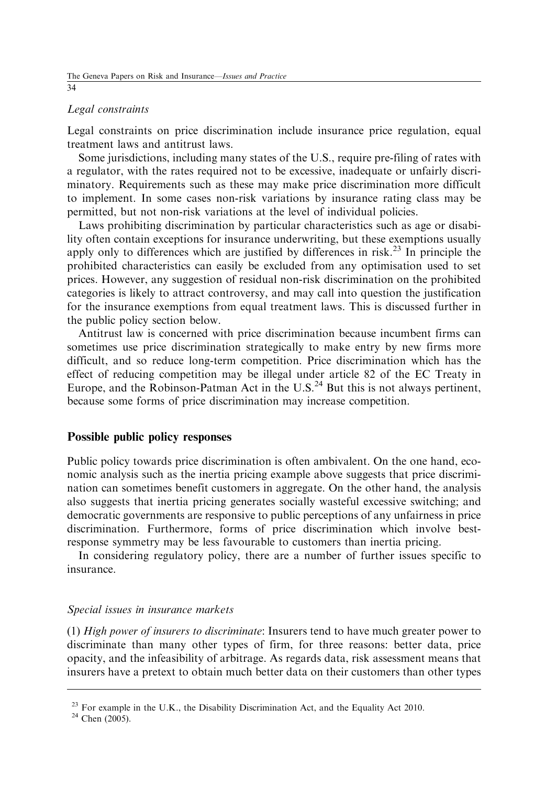# Legal constraints

34

Legal constraints on price discrimination include insurance price regulation, equal treatment laws and antitrust laws.

Some jurisdictions, including many states of the U.S., require pre-filing of rates with a regulator, with the rates required not to be excessive, inadequate or unfairly discriminatory. Requirements such as these may make price discrimination more difficult to implement. In some cases non-risk variations by insurance rating class may be permitted, but not non-risk variations at the level of individual policies.

Laws prohibiting discrimination by particular characteristics such as age or disability often contain exceptions for insurance underwriting, but these exemptions usually apply only to differences which are justified by differences in risk.<sup>23</sup> In principle the prohibited characteristics can easily be excluded from any optimisation used to set prices. However, any suggestion of residual non-risk discrimination on the prohibited categories is likely to attract controversy, and may call into question the justification for the insurance exemptions from equal treatment laws. This is discussed further in the public policy section below.

Antitrust law is concerned with price discrimination because incumbent firms can sometimes use price discrimination strategically to make entry by new firms more difficult, and so reduce long-term competition. Price discrimination which has the effect of reducing competition may be illegal under article 82 of the EC Treaty in Europe, and the Robinson-Patman Act in the U.S.<sup>24</sup> But this is not always pertinent, because some forms of price discrimination may increase competition.

#### Possible public policy responses

Public policy towards price discrimination is often ambivalent. On the one hand, economic analysis such as the inertia pricing example above suggests that price discrimination can sometimes benefit customers in aggregate. On the other hand, the analysis also suggests that inertia pricing generates socially wasteful excessive switching; and democratic governments are responsive to public perceptions of any unfairness in price discrimination. Furthermore, forms of price discrimination which involve bestresponse symmetry may be less favourable to customers than inertia pricing.

In considering regulatory policy, there are a number of further issues specific to insurance.

#### Special issues in insurance markets

(1) High power of insurers to discriminate: Insurers tend to have much greater power to discriminate than many other types of firm, for three reasons: better data, price opacity, and the infeasibility of arbitrage. As regards data, risk assessment means that insurers have a pretext to obtain much better data on their customers than other types

<sup>&</sup>lt;sup>23</sup> For example in the U.K., the Disability Discrimination Act, and the Equality Act 2010.

 $24$  Chen (2005).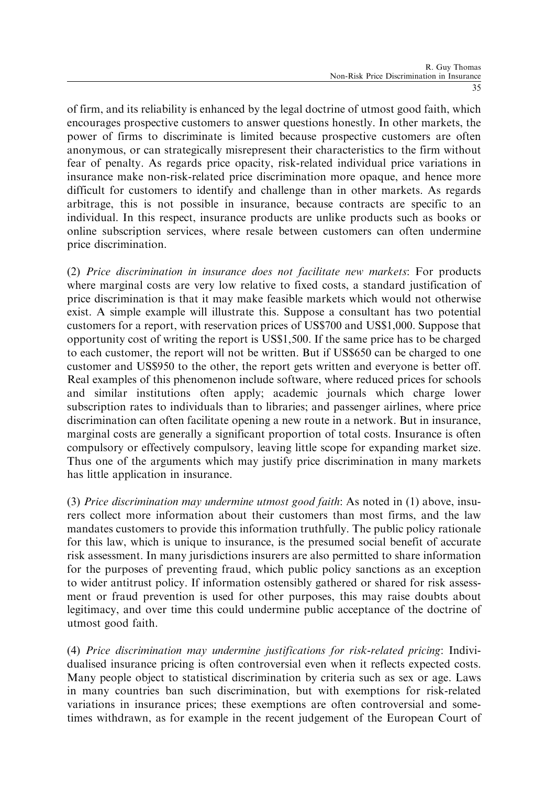of firm, and its reliability is enhanced by the legal doctrine of utmost good faith, which encourages prospective customers to answer questions honestly. In other markets, the power of firms to discriminate is limited because prospective customers are often anonymous, or can strategically misrepresent their characteristics to the firm without fear of penalty. As regards price opacity, risk-related individual price variations in insurance make non-risk-related price discrimination more opaque, and hence more difficult for customers to identify and challenge than in other markets. As regards arbitrage, this is not possible in insurance, because contracts are specific to an individual. In this respect, insurance products are unlike products such as books or online subscription services, where resale between customers can often undermine price discrimination.

(2) Price discrimination in insurance does not facilitate new markets: For products where marginal costs are very low relative to fixed costs, a standard justification of price discrimination is that it may make feasible markets which would not otherwise exist. A simple example will illustrate this. Suppose a consultant has two potential customers for a report, with reservation prices of US\$700 and US\$1,000. Suppose that opportunity cost of writing the report is US\$1,500. If the same price has to be charged to each customer, the report will not be written. But if US\$650 can be charged to one customer and US\$950 to the other, the report gets written and everyone is better off. Real examples of this phenomenon include software, where reduced prices for schools and similar institutions often apply; academic journals which charge lower subscription rates to individuals than to libraries; and passenger airlines, where price discrimination can often facilitate opening a new route in a network. But in insurance, marginal costs are generally a significant proportion of total costs. Insurance is often compulsory or effectively compulsory, leaving little scope for expanding market size. Thus one of the arguments which may justify price discrimination in many markets has little application in insurance.

(3) Price discrimination may undermine utmost good faith: As noted in (1) above, insurers collect more information about their customers than most firms, and the law mandates customers to provide this information truthfully. The public policy rationale for this law, which is unique to insurance, is the presumed social benefit of accurate risk assessment. In many jurisdictions insurers are also permitted to share information for the purposes of preventing fraud, which public policy sanctions as an exception to wider antitrust policy. If information ostensibly gathered or shared for risk assessment or fraud prevention is used for other purposes, this may raise doubts about legitimacy, and over time this could undermine public acceptance of the doctrine of utmost good faith.

(4) Price discrimination may undermine justifications for risk-related pricing: Individualised insurance pricing is often controversial even when it reflects expected costs. Many people object to statistical discrimination by criteria such as sex or age. Laws in many countries ban such discrimination, but with exemptions for risk-related variations in insurance prices; these exemptions are often controversial and sometimes withdrawn, as for example in the recent judgement of the European Court of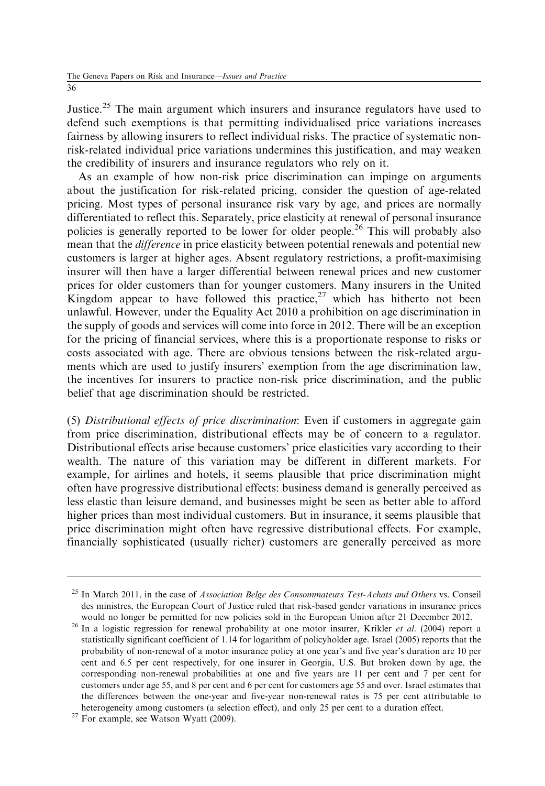Justice.<sup>25</sup> The main argument which insurers and insurance regulators have used to defend such exemptions is that permitting individualised price variations increases fairness by allowing insurers to reflect individual risks. The practice of systematic nonrisk-related individual price variations undermines this justification, and may weaken the credibility of insurers and insurance regulators who rely on it.

As an example of how non-risk price discrimination can impinge on arguments about the justification for risk-related pricing, consider the question of age-related pricing. Most types of personal insurance risk vary by age, and prices are normally differentiated to reflect this. Separately, price elasticity at renewal of personal insurance policies is generally reported to be lower for older people.<sup>26</sup> This will probably also mean that the difference in price elasticity between potential renewals and potential new customers is larger at higher ages. Absent regulatory restrictions, a profit-maximising insurer will then have a larger differential between renewal prices and new customer prices for older customers than for younger customers. Many insurers in the United Kingdom appear to have followed this practice,  $27$  which has hitherto not been unlawful. However, under the Equality Act 2010 a prohibition on age discrimination in the supply of goods and services will come into force in 2012. There will be an exception for the pricing of financial services, where this is a proportionate response to risks or costs associated with age. There are obvious tensions between the risk-related arguments which are used to justify insurers' exemption from the age discrimination law, the incentives for insurers to practice non-risk price discrimination, and the public belief that age discrimination should be restricted.

(5) Distributional effects of price discrimination: Even if customers in aggregate gain from price discrimination, distributional effects may be of concern to a regulator. Distributional effects arise because customers' price elasticities vary according to their wealth. The nature of this variation may be different in different markets. For example, for airlines and hotels, it seems plausible that price discrimination might often have progressive distributional effects: business demand is generally perceived as less elastic than leisure demand, and businesses might be seen as better able to afford higher prices than most individual customers. But in insurance, it seems plausible that price discrimination might often have regressive distributional effects. For example, financially sophisticated (usually richer) customers are generally perceived as more

 $^{25}$  In March 2011, in the case of *Association Belge des Consommateurs Test-Achats and Others vs.* Conseil des ministres, the European Court of Justice ruled that risk-based gender variations in insurance prices would no longer be permitted for new policies sold in the European Union after 21 December 2012.

<sup>&</sup>lt;sup>26</sup> In a logistic regression for renewal probability at one motor insurer, Krikler et al. (2004) report a statistically significant coefficient of 1.14 for logarithm of policyholder age. Israel (2005) reports that the probability of non-renewal of a motor insurance policy at one year's and five year's duration are 10 per cent and 6.5 per cent respectively, for one insurer in Georgia, U.S. But broken down by age, the corresponding non-renewal probabilities at one and five years are 11 per cent and 7 per cent for customers under age 55, and 8 per cent and 6 per cent for customers age 55 and over. Israel estimates that the differences between the one-year and five-year non-renewal rates is 75 per cent attributable to heterogeneity among customers (a selection effect), and only 25 per cent to a duration effect.

 $27$  For example, see Watson Wyatt (2009).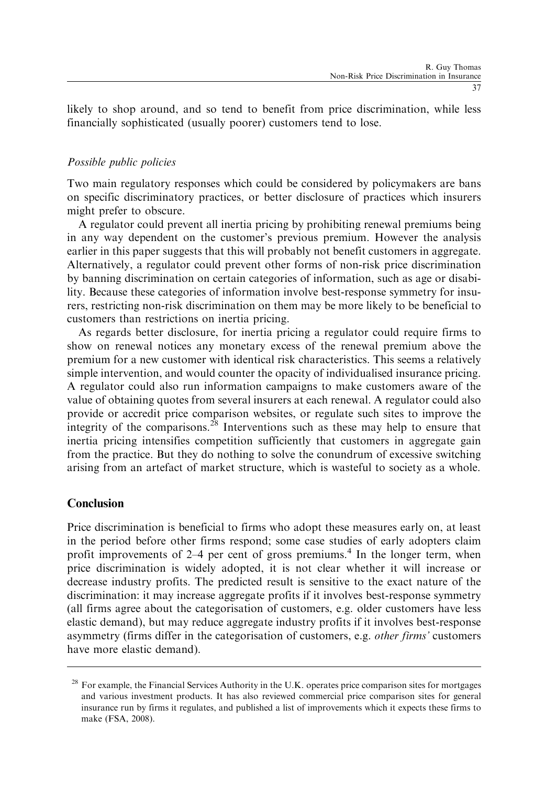likely to shop around, and so tend to benefit from price discrimination, while less financially sophisticated (usually poorer) customers tend to lose.

#### Possible public policies

Two main regulatory responses which could be considered by policymakers are bans on specific discriminatory practices, or better disclosure of practices which insurers might prefer to obscure.

A regulator could prevent all inertia pricing by prohibiting renewal premiums being in any way dependent on the customer's previous premium. However the analysis earlier in this paper suggests that this will probably not benefit customers in aggregate. Alternatively, a regulator could prevent other forms of non-risk price discrimination by banning discrimination on certain categories of information, such as age or disability. Because these categories of information involve best-response symmetry for insurers, restricting non-risk discrimination on them may be more likely to be beneficial to customers than restrictions on inertia pricing.

As regards better disclosure, for inertia pricing a regulator could require firms to show on renewal notices any monetary excess of the renewal premium above the premium for a new customer with identical risk characteristics. This seems a relatively simple intervention, and would counter the opacity of individualised insurance pricing. A regulator could also run information campaigns to make customers aware of the value of obtaining quotes from several insurers at each renewal. A regulator could also provide or accredit price comparison websites, or regulate such sites to improve the integrity of the comparisons.<sup>28</sup> Interventions such as these may help to ensure that inertia pricing intensifies competition sufficiently that customers in aggregate gain from the practice. But they do nothing to solve the conundrum of excessive switching arising from an artefact of market structure, which is wasteful to society as a whole.

#### Conclusion

Price discrimination is beneficial to firms who adopt these measures early on, at least in the period before other firms respond; some case studies of early adopters claim profit improvements of 2–4 per cent of gross premiums.<sup>4</sup> In the longer term, when price discrimination is widely adopted, it is not clear whether it will increase or decrease industry profits. The predicted result is sensitive to the exact nature of the discrimination: it may increase aggregate profits if it involves best-response symmetry (all firms agree about the categorisation of customers, e.g. older customers have less elastic demand), but may reduce aggregate industry profits if it involves best-response asymmetry (firms differ in the categorisation of customers, e.g. other firms' customers have more elastic demand).

<sup>&</sup>lt;sup>28</sup> For example, the Financial Services Authority in the U.K. operates price comparison sites for mortgages and various investment products. It has also reviewed commercial price comparison sites for general insurance run by firms it regulates, and published a list of improvements which it expects these firms to make (FSA, 2008).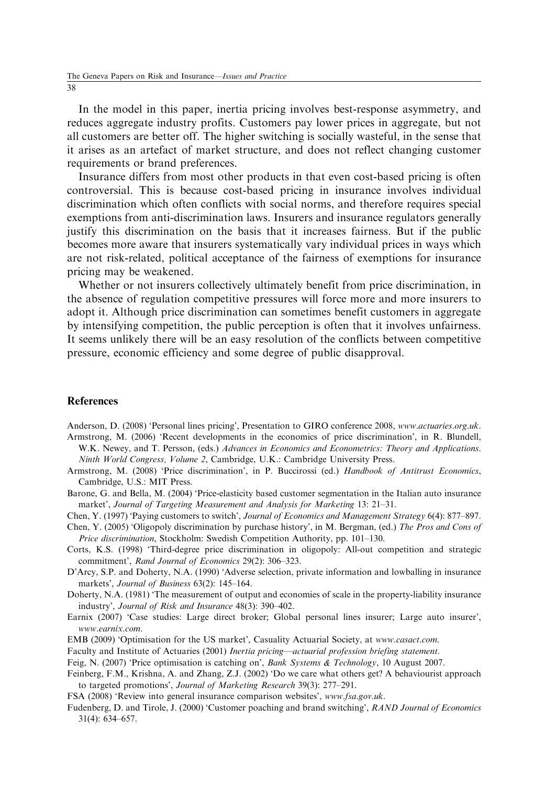In the model in this paper, inertia pricing involves best-response asymmetry, and reduces aggregate industry profits. Customers pay lower prices in aggregate, but not all customers are better off. The higher switching is socially wasteful, in the sense that it arises as an artefact of market structure, and does not reflect changing customer requirements or brand preferences.

Insurance differs from most other products in that even cost-based pricing is often controversial. This is because cost-based pricing in insurance involves individual discrimination which often conflicts with social norms, and therefore requires special exemptions from anti-discrimination laws. Insurers and insurance regulators generally justify this discrimination on the basis that it increases fairness. But if the public becomes more aware that insurers systematically vary individual prices in ways which are not risk-related, political acceptance of the fairness of exemptions for insurance pricing may be weakened.

Whether or not insurers collectively ultimately benefit from price discrimination, in the absence of regulation competitive pressures will force more and more insurers to adopt it. Although price discrimination can sometimes benefit customers in aggregate by intensifying competition, the public perception is often that it involves unfairness. It seems unlikely there will be an easy resolution of the conflicts between competitive pressure, economic efficiency and some degree of public disapproval.

#### References

- Anderson, D. (2008) 'Personal lines pricing', Presentation to GIRO conference 2008, www.actuaries.org.uk. Armstrong, M. (2006) 'Recent developments in the economics of price discrimination', in R. Blundell,
- W.K. Newey, and T. Persson, (eds.) Advances in Economics and Econometrics: Theory and Applications. Ninth World Congress, Volume 2, Cambridge, U.K.: Cambridge University Press.
- Armstrong, M. (2008) 'Price discrimination', in P. Buccirossi (ed.) Handbook of Antitrust Economics, Cambridge, U.S.: MIT Press.
- Barone, G. and Bella, M. (2004) 'Price-elasticity based customer segmentation in the Italian auto insurance market', Journal of Targeting Measurement and Analysis for Marketing 13: 21–31.
- Chen, Y. (1997) 'Paying customers to switch', Journal of Economics and Management Strategy 6(4): 877–897.
- Chen, Y. (2005) 'Oligopoly discrimination by purchase history', in M. Bergman, (ed.) The Pros and Cons of Price discrimination, Stockholm: Swedish Competition Authority, pp. 101–130.
- Corts, K.S. (1998) 'Third-degree price discrimination in oligopoly: All-out competition and strategic commitment', Rand Journal of Economics 29(2): 306–323.
- D'Arcy, S.P. and Doherty, N.A. (1990) 'Adverse selection, private information and lowballing in insurance markets', Journal of Business 63(2): 145–164.
- Doherty, N.A. (1981) 'The measurement of output and economies of scale in the property-liability insurance industry', Journal of Risk and Insurance 48(3): 390–402.
- Earnix (2007) 'Case studies: Large direct broker; Global personal lines insurer; Large auto insurer', www.earnix.com.
- EMB (2009) 'Optimisation for the US market', Casuality Actuarial Society, at www.casact.com.
- Faculty and Institute of Actuaries (2001) Inertia pricing—actuarial profession briefing statement.
- Feig, N. (2007) 'Price optimisation is catching on', Bank Systems & Technology, 10 August 2007.
- Feinberg, F.M., Krishna, A. and Zhang, Z.J. (2002) 'Do we care what others get? A behaviourist approach to targeted promotions', Journal of Marketing Research 39(3): 277–291.
- FSA (2008) 'Review into general insurance comparison websites', www.fsa.gov.uk.
- Fudenberg, D. and Tirole, J. (2000) 'Customer poaching and brand switching', RAND Journal of Economics 31(4): 634–657.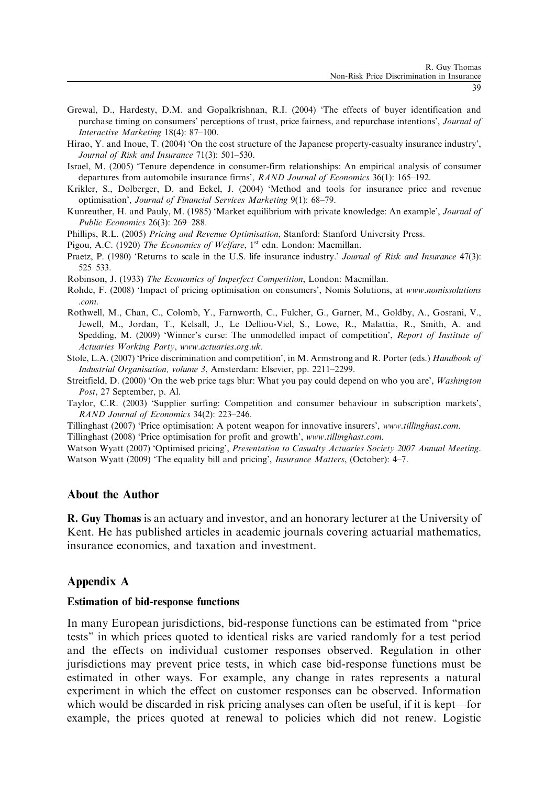Grewal, D., Hardesty, D.M. and Gopalkrishnan, R.I. (2004) 'The effects of buyer identification and purchase timing on consumers' perceptions of trust, price fairness, and repurchase intentions', Journal of Interactive Marketing 18(4): 87–100.

- Hirao, Y. and Inoue, T. (2004) 'On the cost structure of the Japanese property-casualty insurance industry', Journal of Risk and Insurance 71(3): 501–530.
- Israel, M. (2005) 'Tenure dependence in consumer-firm relationships: An empirical analysis of consumer departures from automobile insurance firms', RAND Journal of Economics 36(1): 165–192.
- Krikler, S., Dolberger, D. and Eckel, J. (2004) 'Method and tools for insurance price and revenue optimisation', Journal of Financial Services Marketing 9(1): 68–79.
- Kunreuther, H. and Pauly, M. (1985) 'Market equilibrium with private knowledge: An example', Journal of Public Economics 26(3): 269–288.
- Phillips, R.L. (2005) Pricing and Revenue Optimisation, Stanford: Stanford University Press.
- Pigou, A.C. (1920) The Economics of Welfare, 1<sup>st</sup> edn. London: Macmillan.
- Praetz, P. (1980) 'Returns to scale in the U.S. life insurance industry.' Journal of Risk and Insurance 47(3): 525–533.
- Robinson, J. (1933) The Economics of Imperfect Competition, London: Macmillan.
- Rohde, F. (2008) 'Impact of pricing optimisation on consumers', Nomis Solutions, at www.nomissolutions .com.
- Rothwell, M., Chan, C., Colomb, Y., Farnworth, C., Fulcher, G., Garner, M., Goldby, A., Gosrani, V., Jewell, M., Jordan, T., Kelsall, J., Le Delliou-Viel, S., Lowe, R., Malattia, R., Smith, A. and Spedding, M. (2009) 'Winner's curse: The unmodelled impact of competition', Report of Institute of Actuaries Working Party, www.actuaries.org.uk.
- Stole, L.A. (2007) 'Price discrimination and competition', in M. Armstrong and R. Porter (eds.) *Handbook of* Industrial Organisation, volume 3, Amsterdam: Elsevier, pp. 2211–2299.
- Streitfield, D. (2000) 'On the web price tags blur: What you pay could depend on who you are', Washington Post, 27 September, p. Al.
- Taylor, C.R. (2003) 'Supplier surfing: Competition and consumer behaviour in subscription markets', RAND Journal of Economics 34(2): 223–246.
- Tillinghast (2007) 'Price optimisation: A potent weapon for innovative insurers', www.tillinghast.com.
- Tillinghast (2008) 'Price optimisation for profit and growth', www.tillinghast.com.

Watson Wyatt (2007) 'Optimised pricing', Presentation to Casualty Actuaries Society 2007 Annual Meeting. Watson Wyatt (2009) 'The equality bill and pricing', *Insurance Matters*, (October): 4–7.

#### About the Author

R. Guy Thomas is an actuary and investor, and an honorary lecturer at the University of Kent. He has published articles in academic journals covering actuarial mathematics, insurance economics, and taxation and investment.

#### Appendix A

#### Estimation of bid-response functions

In many European jurisdictions, bid-response functions can be estimated from "price tests" in which prices quoted to identical risks are varied randomly for a test period and the effects on individual customer responses observed. Regulation in other jurisdictions may prevent price tests, in which case bid-response functions must be estimated in other ways. For example, any change in rates represents a natural experiment in which the effect on customer responses can be observed. Information which would be discarded in risk pricing analyses can often be useful, if it is kept—for example, the prices quoted at renewal to policies which did not renew. Logistic

39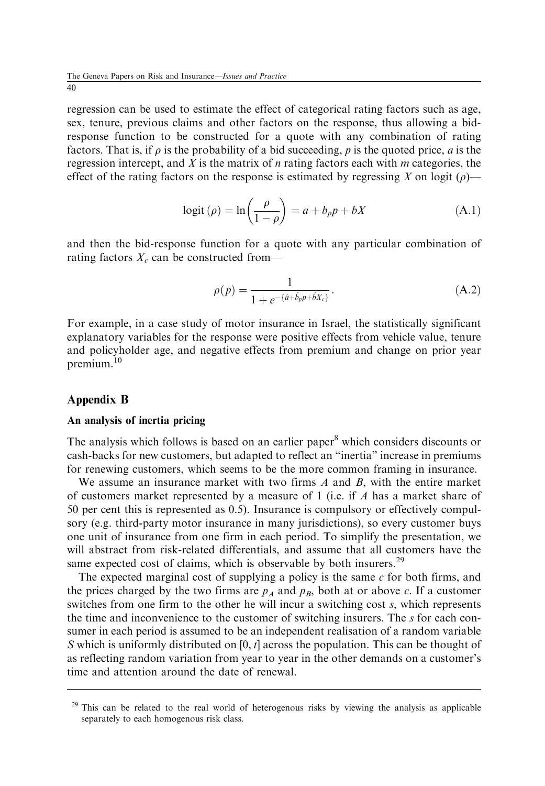regression can be used to estimate the effect of categorical rating factors such as age, sex, tenure, previous claims and other factors on the response, thus allowing a bidresponse function to be constructed for a quote with any combination of rating factors. That is, if  $\rho$  is the probability of a bid succeeding, p is the quoted price, a is the regression intercept, and  $X$  is the matrix of  $n$  rating factors each with  $m$  categories, the effect of the rating factors on the response is estimated by regressing X on logit ( $\rho$ )—

$$
logit (\rho) = ln \left( \frac{\rho}{1 - \rho} \right) = a + b_p p + bX \tag{A.1}
$$

and then the bid-response function for a quote with any particular combination of rating factors  $X_c$  can be constructed from—

$$
\rho(p) = \frac{1}{1 + e^{-\{\hat{a} + \hat{b}_p p + \hat{b} X_c\}}}.
$$
\n(A.2)

For example, in a case study of motor insurance in Israel, the statistically significant explanatory variables for the response were positive effects from vehicle value, tenure and policyholder age, and negative effects from premium and change on prior year premium.<sup>10</sup>

## Appendix B

#### An analysis of inertia pricing

The analysis which follows is based on an earlier paper<sup>8</sup> which considers discounts or cash-backs for new customers, but adapted to reflect an "inertia" increase in premiums for renewing customers, which seems to be the more common framing in insurance.

We assume an insurance market with two firms  $A$  and  $B$ , with the entire market of customers market represented by a measure of 1 (i.e. if  $A$  has a market share of 50 per cent this is represented as 0.5). Insurance is compulsory or effectively compulsory (e.g. third-party motor insurance in many jurisdictions), so every customer buys one unit of insurance from one firm in each period. To simplify the presentation, we will abstract from risk-related differentials, and assume that all customers have the same expected cost of claims, which is observable by both insurers.<sup>29</sup>

The expected marginal cost of supplying a policy is the same  $c$  for both firms, and the prices charged by the two firms are  $p_A$  and  $p_B$ , both at or above c. If a customer switches from one firm to the other he will incur a switching cost s, which represents the time and inconvenience to the customer of switching insurers. The s for each consumer in each period is assumed to be an independent realisation of a random variable S which is uniformly distributed on  $[0, t]$  across the population. This can be thought of as reflecting random variation from year to year in the other demands on a customer's time and attention around the date of renewal.

 $29$  This can be related to the real world of heterogenous risks by viewing the analysis as applicable separately to each homogenous risk class.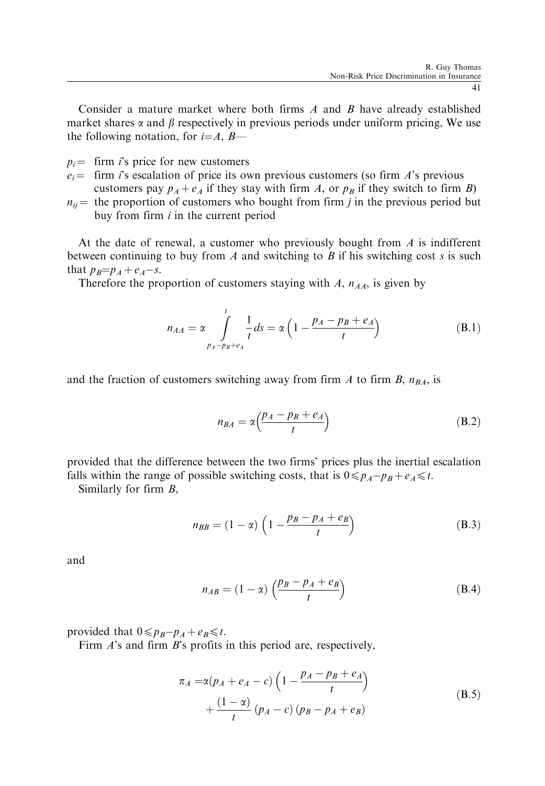Consider a mature market where both firms  $A$  and  $B$  have already established market shares  $\alpha$  and  $\beta$  respectively in previous periods under uniform pricing, We use the following notation, for  $i = A$ ,  $B$ —

- $p_i$  = firm *i*'s price for new customers
- $e_i$  firm i's escalation of price its own previous customers (so firm A's previous customers pay  $p_A + e_A$  if they stay with firm A, or  $p_B$  if they switch to firm B)
- $n_{ii}$  the proportion of customers who bought from firm j in the previous period but buy from firm  $i$  in the current period

At the date of renewal, a customer who previously bought from  $A$  is indifferent between continuing to buy from A and switching to B if his switching cost s is such that  $p_B=p_A+e_A-s$ .

Therefore the proportion of customers staying with  $A$ ,  $n_{AA}$ , is given by

$$
n_{AA} = \alpha \int_{p_A - p_B + e_A}^{t} \frac{1}{t} ds = \alpha \left( 1 - \frac{p_A - p_B + e_A}{t} \right)
$$
 (B.1)

and the fraction of customers switching away from firm A to firm B,  $n_{BA}$ , is

$$
n_{BA} = \alpha \left(\frac{p_A - p_B + e_A}{t}\right) \tag{B.2}
$$

provided that the difference between the two firms' prices plus the inertial escalation falls within the range of possible switching costs, that is  $0 \leq p_A - p_B + e_A \leq t$ .

Similarly for firm B,

$$
n_{BB} = (1 - \alpha) \left( 1 - \frac{p_B - p_A + e_B}{t} \right) \tag{B.3}
$$

and

$$
n_{AB} = (1 - \alpha) \left( \frac{p_B - p_A + e_B}{t} \right) \tag{B.4}
$$

provided that  $0 \leq p_B - p_A + e_B \leq t$ .

Firm A's and firm B's profits in this period are, respectively,

$$
\pi_A = \alpha (p_A + e_A - c) \left( 1 - \frac{p_A - p_B + e_A}{t} \right)
$$
  
+ 
$$
\frac{(1 - \alpha)}{t} (p_A - c) (p_B - p_A + e_B)
$$
 (B.5)

41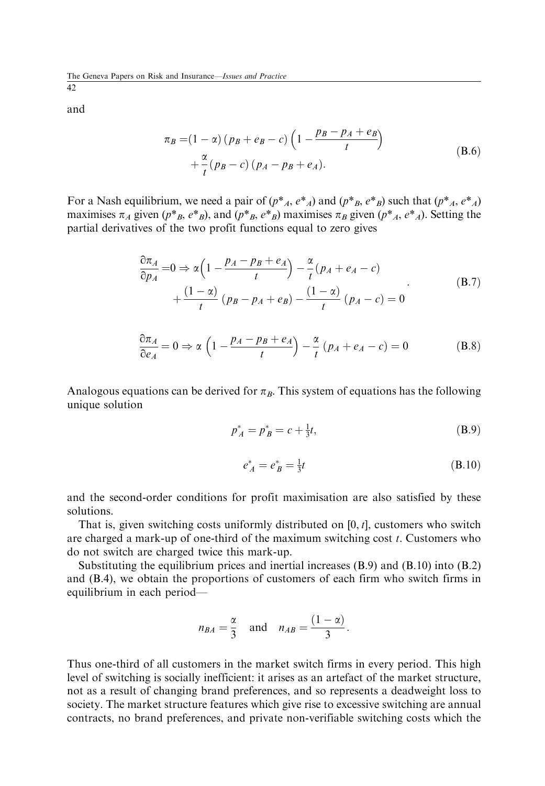and

$$
\pi_B = (1 - \alpha) (p_B + e_B - c) \left( 1 - \frac{p_B - p_A + e_B}{t} \right)
$$
  
 
$$
+ \frac{\alpha}{t} (p_B - c) (p_A - p_B + e_A).
$$
 (B.6)

For a Nash equilibrium, we need a pair of  $(p^*, A, e^*, p^*)$  and  $(p^*, B, e^*, p^*)$  such that  $(p^*, A, e^*, p^*)$ maximises  $\pi_A$  given  $(p^*, p^*, e^*, p)$ , and  $(p^*, p^*, e^*, p)$  maximises  $\pi_B$  given  $(p^*, p^*, e^*, p)$ . Setting the partial derivatives of the two profit functions equal to zero gives

$$
\frac{\partial \pi_A}{\partial p_A} = 0 \Rightarrow \alpha \left( 1 - \frac{p_A - p_B + e_A}{t} \right) - \frac{\alpha}{t} (p_A + e_A - c)
$$
  
+ 
$$
\frac{(1 - \alpha)}{t} (p_B - p_A + e_B) - \frac{(1 - \alpha)}{t} (p_A - c) = 0
$$
 (B.7)

$$
\frac{\partial \pi_A}{\partial e_A} = 0 \Rightarrow \alpha \left( 1 - \frac{p_A - p_B + e_A}{t} \right) - \frac{\alpha}{t} \left( p_A + e_A - c \right) = 0 \tag{B.8}
$$

Analogous equations can be derived for  $\pi_B$ . This system of equations has the following unique solution

$$
p_A^* = p_B^* = c + \frac{1}{3}t,\tag{B.9}
$$

$$
e_A^* = e_B^* = \frac{1}{3}t \tag{B.10}
$$

and the second-order conditions for profit maximisation are also satisfied by these solutions.

That is, given switching costs uniformly distributed on  $[0, t]$ , customers who switch are charged a mark-up of one-third of the maximum switching cost  $t$ . Customers who do not switch are charged twice this mark-up.

Substituting the equilibrium prices and inertial increases  $(B.9)$  and  $(B.10)$  into  $(B.2)$ and (B.4), we obtain the proportions of customers of each firm who switch firms in equilibrium in each period—

$$
n_{BA} = \frac{\alpha}{3} \quad \text{and} \quad n_{AB} = \frac{(1 - \alpha)}{3}.
$$

Thus one-third of all customers in the market switch firms in every period. This high level of switching is socially inefficient: it arises as an artefact of the market structure, not as a result of changing brand preferences, and so represents a deadweight loss to society. The market structure features which give rise to excessive switching are annual contracts, no brand preferences, and private non-verifiable switching costs which the

42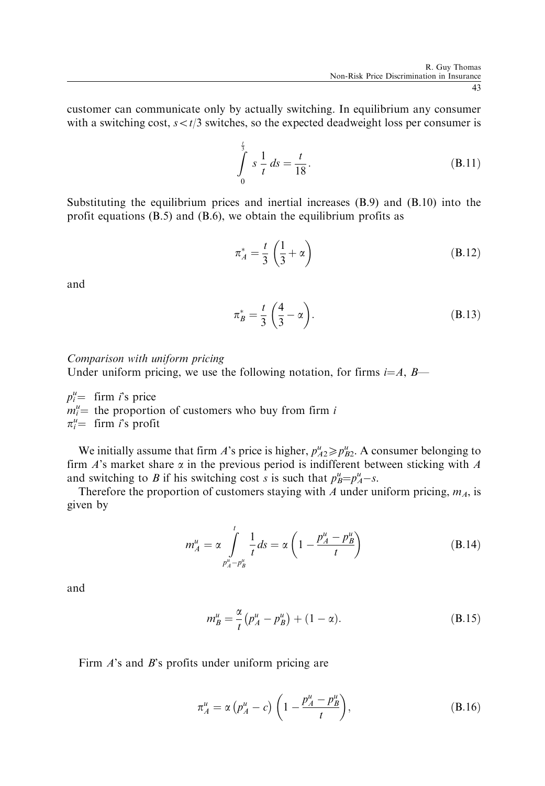customer can communicate only by actually switching. In equilibrium any consumer with a switching cost,  $s < t/3$  switches, so the expected deadweight loss per consumer is

$$
\int_{0}^{\frac{t}{3}} s \frac{1}{t} ds = \frac{t}{18}.
$$
 (B.11)

Substituting the equilibrium prices and inertial increases (B.9) and (B.10) into the profit equations (B.5) and (B.6), we obtain the equilibrium profits as

$$
\pi_A^* = \frac{t}{3} \left( \frac{1}{3} + \alpha \right) \tag{B.12}
$$

and

$$
\pi_B^* = \frac{t}{3} \left( \frac{4}{3} - \alpha \right). \tag{B.13}
$$

#### Comparison with uniform pricing

Under uniform pricing, we use the following notation, for firms  $i=$  A, B—

 $p_i^u$  firm *i*'s price  $m_i^u$  the proportion of customers who buy from firm i  $\pi_i^u$  firm *i*'s profit

We initially assume that firm A's price is higher,  $p_{A2}^u \geq p_{B2}^u$ . A consumer belonging to firm  $A$ 's market share  $\alpha$  in the previous period is indifferent between sticking with  $A$ and switching to B if his switching cost s is such that  $p_B^u = p_A^u - s$ .

Therefore the proportion of customers staying with A under uniform pricing,  $m_A$ , is given by

$$
m_A^u = \alpha \int_{p_A^u - p_B^u}^1 \frac{1}{t} ds = \alpha \left( 1 - \frac{p_A^u - p_B^u}{t} \right)
$$
 (B.14)

and

$$
m_B^u = \frac{\alpha}{t} (p_A^u - p_B^u) + (1 - \alpha). \tag{B.15}
$$

Firm A's and B's profits under uniform pricing are

$$
\pi_A^u = \alpha \left( p_A^u - c \right) \left( 1 - \frac{p_A^u - p_B^u}{t} \right),\tag{B.16}
$$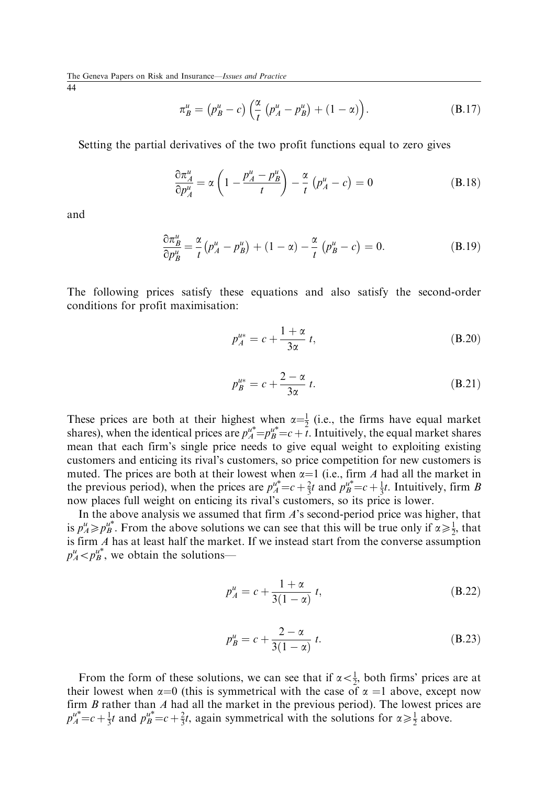44

$$
\pi_B^u = \left(p_B^u - c\right) \left(\frac{\alpha}{t} \left(p_A^u - p_B^u\right) + (1 - \alpha)\right). \tag{B.17}
$$

Setting the partial derivatives of the two profit functions equal to zero gives

$$
\frac{\partial \pi_d^u}{\partial p_A^u} = \alpha \left( 1 - \frac{p_A^u - p_B^u}{t} \right) - \frac{\alpha}{t} \left( p_A^u - c \right) = 0 \tag{B.18}
$$

and

$$
\frac{\partial \pi_B^u}{\partial p_B^u} = \frac{\alpha}{t} \left( p_A^u - p_B^u \right) + (1 - \alpha) - \frac{\alpha}{t} \left( p_B^u - c \right) = 0. \tag{B.19}
$$

The following prices satisfy these equations and also satisfy the second-order conditions for profit maximisation:

$$
p_A^{u*} = c + \frac{1+\alpha}{3\alpha} t,\tag{B.20}
$$

$$
p_B^{u*} = c + \frac{2 - \alpha}{3\alpha} t. \tag{B.21}
$$

These prices are both at their highest when  $\alpha = \frac{1}{2}$  (i.e., the firms have equal market shares), when the identical prices are  $p_A^{u^*} = p_B^{u^*} = c + \tilde{t}$ . Intuitively, the equal market shares mean that each firm's single price needs to give equal weight to exploiting existing customers and enticing its rival's customers, so price competition for new customers is muted. The prices are both at their lowest when  $\alpha=1$  (i.e., firm A had all the market in the previous period), when the prices are  $p_A^{\mu^*}=c+\frac{2}{3}t$  and  $p_B^{\mu^*}=c+\frac{1}{3}t$ . Intuitively, firm B now places full weight on enticing its rival's customers, so its price is lower.

In the above analysis we assumed that firm A's second-period price was higher, that is  $p_A^u \geq p_B^{u^*}$ . From the above solutions we can see that this will be true only if  $\alpha \geq \frac{1}{2}$ , that is firm A has at least half the market. If we instead start from the converse assumption  $p_A^u < p_B^{u^*}$ , we obtain the solutions—

$$
p_A^u = c + \frac{1+\alpha}{3(1-\alpha)} t,
$$
 (B.22)

$$
p_B^u = c + \frac{2 - \alpha}{3(1 - \alpha)} t.
$$
 (B.23)

From the form of these solutions, we can see that if  $\alpha < \frac{1}{2}$ , both firms' prices are at their lowest when  $\alpha=0$  (this is symmetrical with the case of  $\alpha=1$  above, except now firm  $B$  rather than  $A$  had all the market in the previous period). The lowest prices are  $p_A^{\mu^*}=c+\frac{1}{3}t$  and  $p_B^{\mu^*}=c+\frac{2}{3}t$ , again symmetrical with the solutions for  $\alpha \ge \frac{1}{2}$  above.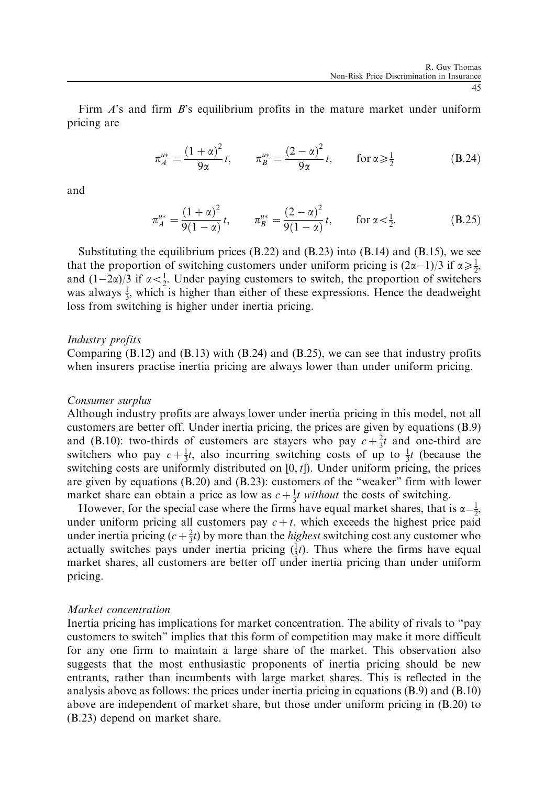Firm A's and firm B's equilibrium profits in the mature market under uniform pricing are

$$
\pi_A^{u*} = \frac{(1+\alpha)^2}{9\alpha}t, \qquad \pi_B^{u*} = \frac{(2-\alpha)^2}{9\alpha}t, \qquad \text{for } \alpha \ge \frac{1}{2}
$$
 (B.24)

and

$$
\pi_A^{u*} = \frac{(1+\alpha)^2}{9(1-\alpha)}t, \qquad \pi_B^{u*} = \frac{(2-\alpha)^2}{9(1-\alpha)}t, \qquad \text{for } \alpha < \frac{1}{2}.
$$
 (B.25)

Substituting the equilibrium prices  $(B.22)$  and  $(B.23)$  into  $(B.14)$  and  $(B.15)$ , we see that the proportion of switching customers under uniform pricing is  $(2\alpha-1)/3$  if  $\alpha \ge \frac{1}{2}$ , and  $(1-2\alpha)/3$  if  $\alpha < \frac{1}{2}$ . Under paying customers to switch, the proportion of switchers was always  $\frac{1}{3}$ , which is higher than either of these expressions. Hence the deadweight loss from switching is higher under inertia pricing.

#### Industry profits

Comparing (B.12) and (B.13) with (B.24) and (B.25), we can see that industry profits when insurers practise inertia pricing are always lower than under uniform pricing.

#### Consumer surplus

Although industry profits are always lower under inertia pricing in this model, not all customers are better off. Under inertia pricing, the prices are given by equations (B.9) and (B.10): two-thirds of customers are stayers who pay  $c + \frac{2}{3}t$  and one-third are switchers who pay  $c + \frac{1}{3}t$ , also incurring switching costs of up to  $\frac{1}{3}t$  (because the switching costs are uniformly distributed on  $[0, t]$ ). Under uniform pricing, the prices are given by equations (B.20) and (B.23): customers of the "weaker" firm with lower market share can obtain a price as low as  $c + \frac{1}{3}t$  without the costs of switching.

However, for the special case where the firms have equal market shares, that is  $\alpha = \frac{1}{2}$ , under uniform pricing all customers pay  $c + t$ , which exceeds the highest price paid under inertia pricing  $(c + \frac{2}{3}t)$  by more than the *highest* switching cost any customer who actually switches pays under inertia pricing  $(\frac{1}{3}t)$ . Thus where the firms have equal market shares, all customers are better off under inertia pricing than under uniform pricing.

#### Market concentration

Inertia pricing has implications for market concentration. The ability of rivals to "pay customers to switch" implies that this form of competition may make it more difficult for any one firm to maintain a large share of the market. This observation also suggests that the most enthusiastic proponents of inertia pricing should be new entrants, rather than incumbents with large market shares. This is reflected in the analysis above as follows: the prices under inertia pricing in equations (B.9) and (B.10) above are independent of market share, but those under uniform pricing in (B.20) to (B.23) depend on market share.

45